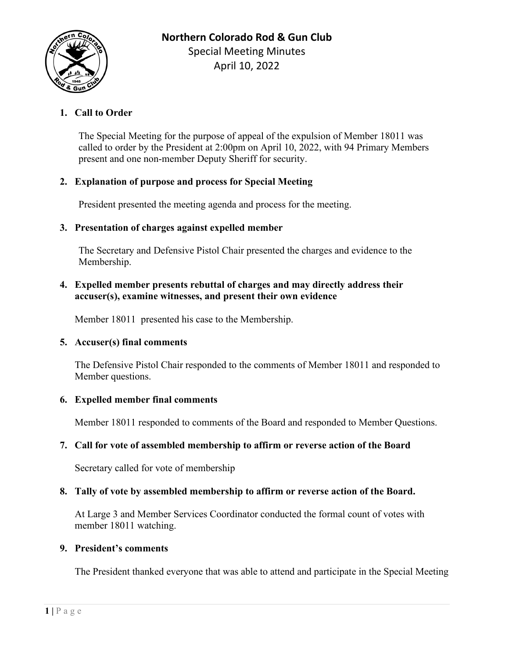

# **1. Call to Order**

The Special Meeting for the purpose of appeal of the expulsion of Member 18011 was called to order by the President at 2:00pm on April 10, 2022, with 94 Primary Members present and one non-member Deputy Sheriff for security.

## **2. Explanation of purpose and process for Special Meeting**

President presented the meeting agenda and process for the meeting.

## **3. Presentation of charges against expelled member**

The Secretary and Defensive Pistol Chair presented the charges and evidence to the Membership.

## **4. Expelled member presents rebuttal of charges and may directly address their accuser(s), examine witnesses, and present their own evidence**

Member 18011 presented his case to the Membership.

#### **5. Accuser(s) final comments**

The Defensive Pistol Chair responded to the comments of Member 18011 and responded to Member questions.

#### **6. Expelled member final comments**

Member 18011 responded to comments of the Board and responded to Member Questions.

## **7. Call for vote of assembled membership to affirm or reverse action of the Board**

Secretary called for vote of membership

## **8. Tally of vote by assembled membership to affirm or reverse action of the Board.**

At Large 3 and Member Services Coordinator conducted the formal count of votes with member 18011 watching.

#### **9. President's comments**

The President thanked everyone that was able to attend and participate in the Special Meeting